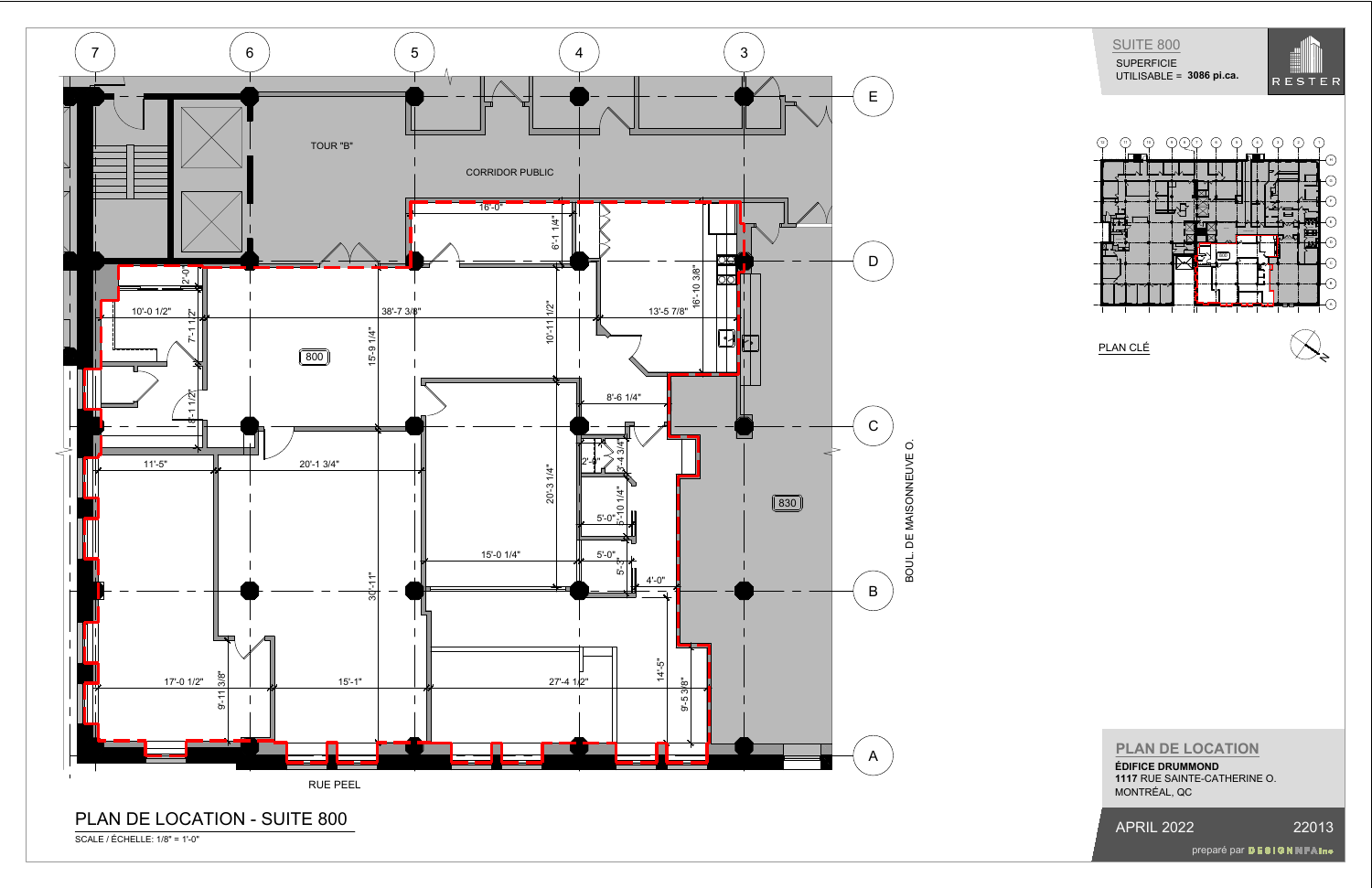



PLAN CLÉ

APRIL 2022 22013

preparé par DESIGNNFAInc